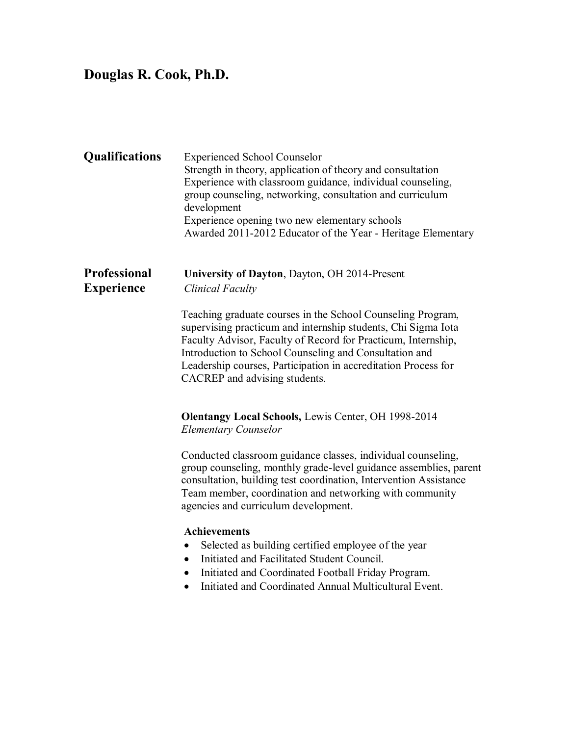# **Douglas R. Cook, Ph.D.**

| <b>Qualifications</b>                    | <b>Experienced School Counselor</b><br>Strength in theory, application of theory and consultation<br>Experience with classroom guidance, individual counseling,<br>group counseling, networking, consultation and curriculum<br>development<br>Experience opening two new elementary schools<br>Awarded 2011-2012 Educator of the Year - Heritage Elementary                                                                                                                                                                                                                                                                                                                             |
|------------------------------------------|------------------------------------------------------------------------------------------------------------------------------------------------------------------------------------------------------------------------------------------------------------------------------------------------------------------------------------------------------------------------------------------------------------------------------------------------------------------------------------------------------------------------------------------------------------------------------------------------------------------------------------------------------------------------------------------|
| <b>Professional</b><br><b>Experience</b> | University of Dayton, Dayton, OH 2014-Present<br><b>Clinical Faculty</b><br>Teaching graduate courses in the School Counseling Program,<br>supervising practicum and internship students, Chi Sigma Iota<br>Faculty Advisor, Faculty of Record for Practicum, Internship,<br>Introduction to School Counseling and Consultation and<br>Leadership courses, Participation in accreditation Process for<br>CACREP and advising students.                                                                                                                                                                                                                                                   |
|                                          | <b>Olentangy Local Schools, Lewis Center, OH 1998-2014</b><br><b>Elementary Counselor</b><br>Conducted classroom guidance classes, individual counseling,<br>group counseling, monthly grade-level guidance assemblies, parent<br>consultation, building test coordination, Intervention Assistance<br>Team member, coordination and networking with community<br>agencies and curriculum development.<br><b>Achievements</b><br>Selected as building certified employee of the year<br>$\bullet$<br>Initiated and Facilitated Student Council.<br>Initiated and Coordinated Football Friday Program.<br>$\bullet$<br>Initiated and Coordinated Annual Multicultural Event.<br>$\bullet$ |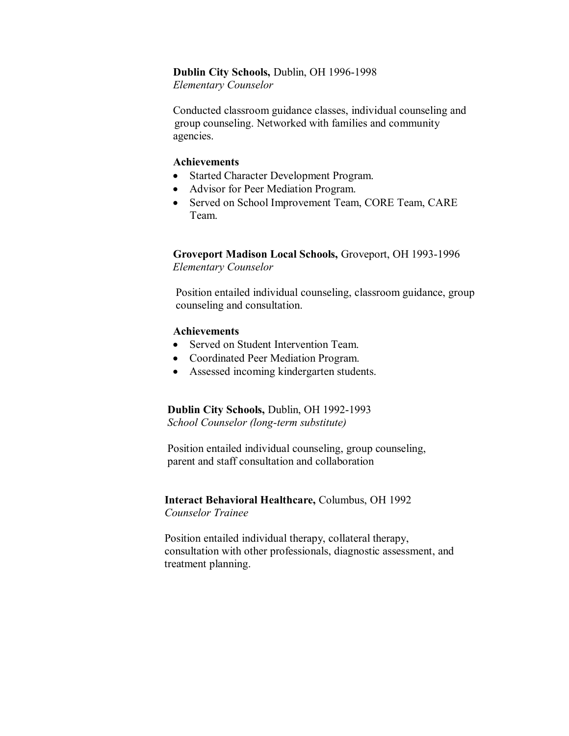#### **Dublin City Schools,** Dublin, OH 1996-1998

 *Elementary Counselor* 

 Conducted classroom guidance classes, individual counseling and group counseling. Networked with families and community agencies.

#### **Achievements**

- Started Character Development Program.
- Advisor for Peer Mediation Program.
- Served on School Improvement Team, CORE Team, CARE Team.

#### **Groveport Madison Local Schools,** Groveport, OH 1993-1996  *Elementary Counselor*

 Position entailed individual counseling, classroom guidance, group counseling and consultation.

#### **Achievements**

- Served on Student Intervention Team.
- Coordinated Peer Mediation Program.
- Assessed incoming kindergarten students.

#### **Dublin City Schools,** Dublin, OH 1992-1993 *School Counselor (long-term substitute)*

 Position entailed individual counseling, group counseling, parent and staff consultation and collaboration

#### **Interact Behavioral Healthcare,** Columbus, OH 1992  *Counselor Trainee*

 Position entailed individual therapy, collateral therapy, consultation with other professionals, diagnostic assessment, and treatment planning.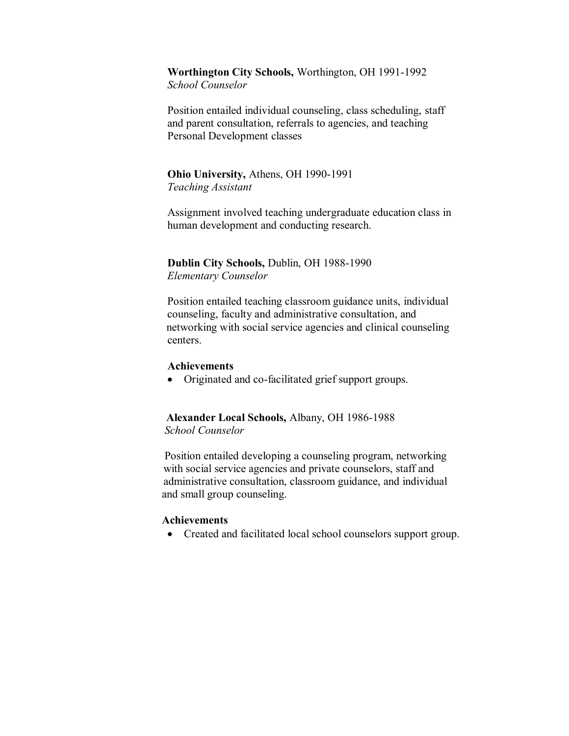## **Worthington City Schools,** Worthington, OH 1991-1992

*School Counselor*

Position entailed individual counseling, class scheduling, staff and parent consultation, referrals to agencies, and teaching Personal Development classes

### **Ohio University,** Athens, OH 1990-1991  *Teaching Assistant*

 Assignment involved teaching undergraduate education class in human development and conducting research.

 **Dublin City Schools,** Dublin, OH 1988-1990  *Elementary Counselor* 

Position entailed teaching classroom guidance units, individual counseling, faculty and administrative consultation, and networking with social service agencies and clinical counseling centers.

#### **Achievements**

Originated and co-facilitated grief support groups.

 **Alexander Local Schools,** Albany, OH 1986-1988  *School Counselor* 

 Position entailed developing a counseling program, networking with social service agencies and private counselors, staff and administrative consultation, classroom guidance, and individual and small group counseling.

#### **Achievements**

• Created and facilitated local school counselors support group.